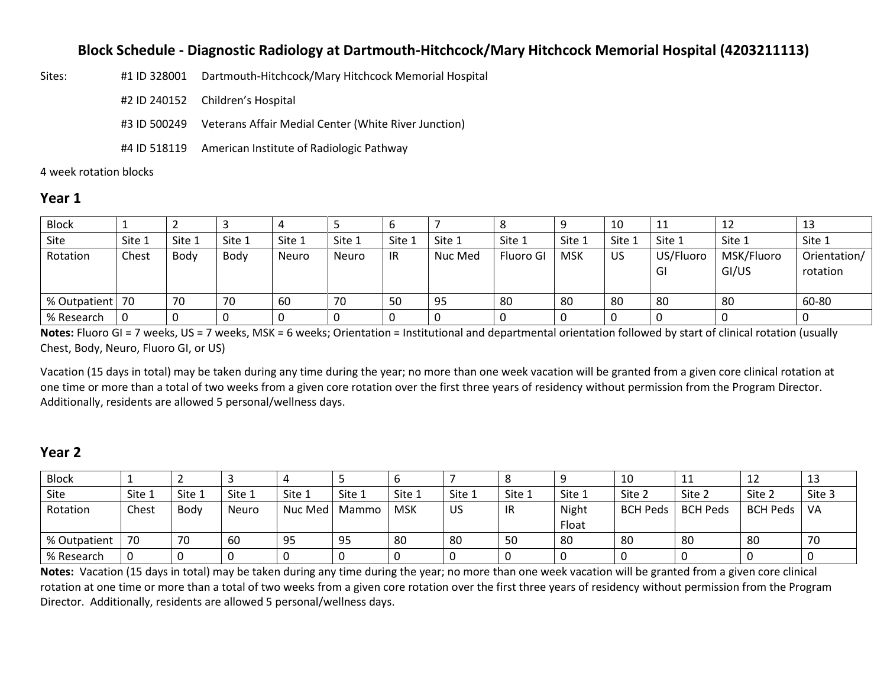### **Block Schedule - Diagnostic Radiology at Dartmouth-Hitchcock/Mary Hitchcock Memorial Hospital (4203211113)**

| Sites: | #1 ID 328001 Dartmouth-Hitchcock/Mary Hitchcock Memorial Hospital |
|--------|-------------------------------------------------------------------|
|        | #2 ID 240152 Children's Hospital                                  |
|        | #3 ID 500249 Veterans Affair Medial Center (White River Junction) |
|        | #4 ID 518119 American Institute of Radiologic Pathway             |

4 week rotation blocks

#### **Year 1**

| <b>Block</b>      |        |        |        |        |              | O      |         |           |            | 10     | 11              | 12                  | 13                       |
|-------------------|--------|--------|--------|--------|--------------|--------|---------|-----------|------------|--------|-----------------|---------------------|--------------------------|
| Site              | Site 1 | Site 1 | Site 1 | Site 1 | Site 1       | Site 1 | Site 1  | Site 1    | Site 1     | Site 1 | Site 1          | Site 1              | Site 1                   |
| Rotation          | Chest  | Body   | Body   | Neuro  | <b>Neuro</b> | -IR    | Nuc Med | Fluoro GI | <b>MSK</b> | US     | US/Fluoro<br>GI | MSK/Fluoro<br>GI/US | Orientation/<br>rotation |
| % Outpatient   70 |        | 70     | 70     | 60     | 70           | 50     | 95      | 80        | 80         | 80     | -80             | 80                  | 60-80                    |
| % Research        |        | 0      |        |        |              |        |         |           |            |        |                 |                     |                          |

**Notes:** Fluoro GI = 7 weeks, US = 7 weeks, MSK = 6 weeks; Orientation = Institutional and departmental orientation followed by start of clinical rotation (usually Chest, Body, Neuro, Fluoro GI, or US)

Vacation (15 days in total) may be taken during any time during the year; no more than one week vacation will be granted from a given core clinical rotation at one time or more than a total of two weeks from a given core rotation over the first three years of residency without permission from the Program Director. Additionally, residents are allowed 5 personal/wellness days.

# **Year 2**

| <b>Block</b> |        |        |        |         |        |            |        |        |                | 10              | 11              | 12          | ⊥⊐     |
|--------------|--------|--------|--------|---------|--------|------------|--------|--------|----------------|-----------------|-----------------|-------------|--------|
| Site         | Site 1 | Site 1 | Site 1 | Site 1  | Site 1 | Site 1     | Site 1 | Site 1 | Site 1         | Site 2          | Site 2          | Site 2      | Site 3 |
| Rotation     | Chest  | Body   | Neuro  | Nuc Med | Mammo  | <b>MSK</b> | US     | IR     | Night<br>Float | <b>BCH Peds</b> | <b>BCH Peds</b> | BCH Peds VA |        |
| % Outpatient | 70     | 70     | 60     | 95      | -95    | 80         | 80     | 50     | 80             | 80              | -80             | -80         | -70    |
| % Research   |        |        |        |         |        |            |        |        |                |                 |                 |             |        |

**Notes:** Vacation (15 days in total) may be taken during any time during the year; no more than one week vacation will be granted from a given core clinical rotation at one time or more than a total of two weeks from a given core rotation over the first three years of residency without permission from the Program Director. Additionally, residents are allowed 5 personal/wellness days.